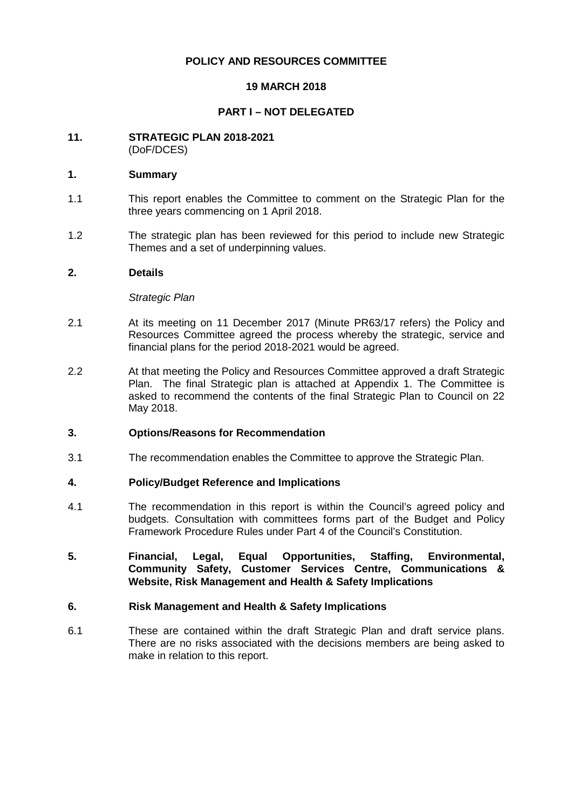# **POLICY AND RESOURCES COMMITTEE**

# **19 MARCH 2018**

# **PART I – NOT DELEGATED**

#### **11. STRATEGIC PLAN 2018-2021** (DoF/DCES)

#### **1. Summary**

- 1.1 This report enables the Committee to comment on the Strategic Plan for the three years commencing on 1 April 2018.
- 1.2 The strategic plan has been reviewed for this period to include new Strategic Themes and a set of underpinning values.

#### **2. Details**

#### *Strategic Plan*

- 2.1 At its meeting on 11 December 2017 (Minute PR63/17 refers) the Policy and Resources Committee agreed the process whereby the strategic, service and financial plans for the period 2018-2021 would be agreed.
- 2.2 At that meeting the Policy and Resources Committee approved a draft Strategic Plan. The final Strategic plan is attached at Appendix 1. The Committee is asked to recommend the contents of the final Strategic Plan to Council on 22 May 2018.

## **3. Options/Reasons for Recommendation**

3.1 The recommendation enables the Committee to approve the Strategic Plan.

## **4. Policy/Budget Reference and Implications**

- 4.1 The recommendation in this report is within the Council's agreed policy and budgets. Consultation with committees forms part of the Budget and Policy Framework Procedure Rules under Part 4 of the Council's Constitution.
- **5. Financial, Legal, Equal Opportunities, Staffing, Environmental, Community Safety, Customer Services Centre, Communications & Website, Risk Management and Health & Safety Implications**

#### **6. Risk Management and Health & Safety Implications**

6.1 These are contained within the draft Strategic Plan and draft service plans. There are no risks associated with the decisions members are being asked to make in relation to this report.